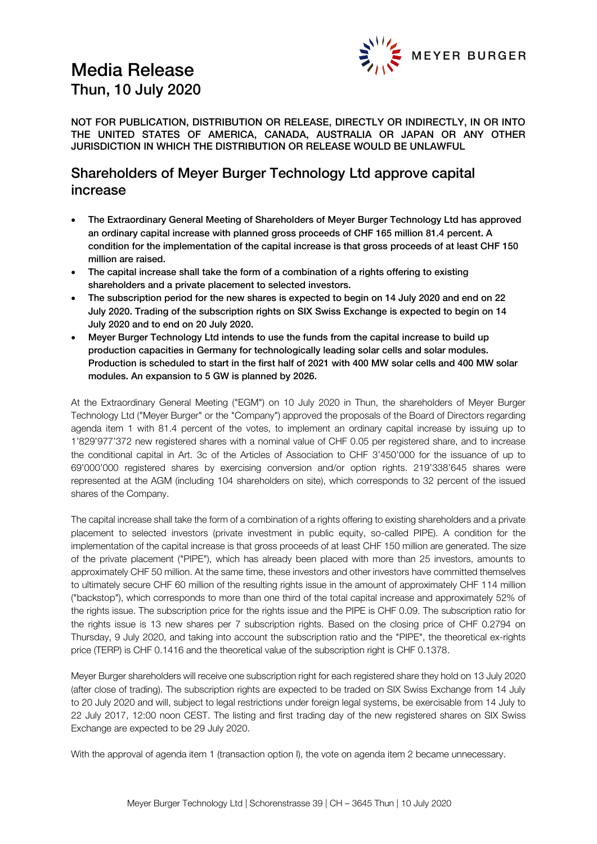# Media Release Thun, 10 July 2020



NOT FOR PUBLICATION, DISTRIBUTION OR RELEASE, DIRECTLY OR INDIRECTLY, IN OR INTO THE UNITED STATES OF AMERICA, CANADA, AUSTRALIA OR JAPAN OR ANY OTHER JURISDICTION IN WHICH THE DISTRIBUTION OR RELEASE WOULD BE UNLAWFUL

## Shareholders of Meyer Burger Technology Ltd approve capital increase

- The Extraordinary General Meeting of Shareholders of Meyer Burger Technology Ltd has approved an ordinary capital increase with planned gross proceeds of CHF 165 million 81.4 percent. A condition for the implementation of the capital increase is that gross proceeds of at least CHF 150 million are raised.
- The capital increase shall take the form of a combination of a rights offering to existing shareholders and a private placement to selected investors.
- The subscription period for the new shares is expected to begin on 14 July 2020 and end on 22 July 2020. Trading of the subscription rights on SIX Swiss Exchange is expected to begin on 14 July 2020 and to end on 20 July 2020.
- Meyer Burger Technology Ltd intends to use the funds from the capital increase to build up production capacities in Germany for technologically leading solar cells and solar modules. Production is scheduled to start in the first half of 2021 with 400 MW solar cells and 400 MW solar modules. An expansion to 5 GW is planned by 2026.

At the Extraordinary General Meeting ("EGM") on 10 July 2020 in Thun, the shareholders of Meyer Burger Technology Ltd ("Meyer Burger" or the "Company") approved the proposals of the Board of Directors regarding agenda item 1 with 81.4 percent of the votes, to implement an ordinary capital increase by issuing up to 1'829'977'372 new registered shares with a nominal value of CHF 0.05 per registered share, and to increase the conditional capital in Art. 3c of the Articles of Association to CHF 3'450'000 for the issuance of up to 69'000'000 registered shares by exercising conversion and/or option rights. 219'338'645 shares were represented at the AGM (including 104 shareholders on site), which corresponds to 32 percent of the issued shares of the Company.

The capital increase shall take the form of a combination of a rights offering to existing shareholders and a private placement to selected investors (private investment in public equity, so-called PIPE). A condition for the implementation of the capital increase is that gross proceeds of at least CHF 150 million are generated. The size of the private placement ("PIPE"), which has already been placed with more than 25 investors, amounts to approximately CHF 50 million. At the same time, these investors and other investors have committed themselves to ultimately secure CHF 60 million of the resulting rights issue in the amount of approximately CHF 114 million ("backstop"), which corresponds to more than one third of the total capital increase and approximately 52% of the rights issue. The subscription price for the rights issue and the PIPE is CHF 0.09. The subscription ratio for the rights issue is 13 new shares per 7 subscription rights. Based on the closing price of CHF 0.2794 on Thursday, 9 July 2020, and taking into account the subscription ratio and the "PIPE", the theoretical ex-rights price (TERP) is CHF 0.1416 and the theoretical value of the subscription right is CHF 0.1378.

Meyer Burger shareholders will receive one subscription right for each registered share they hold on 13 July 2020 (after close of trading). The subscription rights are expected to be traded on SIX Swiss Exchange from 14 July to 20 July 2020 and will, subject to legal restrictions under foreign legal systems, be exercisable from 14 July to 22 July 2017, 12:00 noon CEST. The listing and first trading day of the new registered shares on SIX Swiss Exchange are expected to be 29 July 2020.

With the approval of agenda item 1 (transaction option I), the vote on agenda item 2 became unnecessary.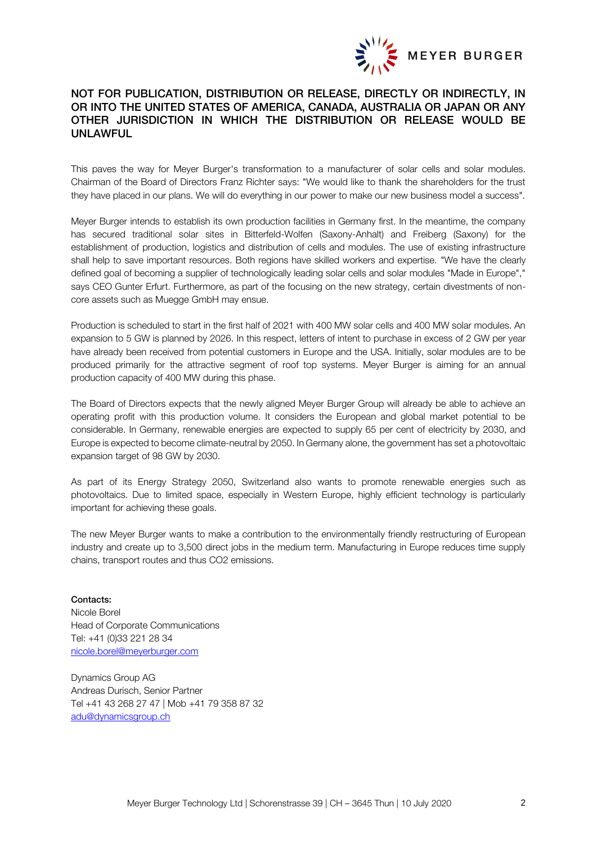

### NOT FOR PUBLICATION, DISTRIBUTION OR RELEASE, DIRECTLY OR INDIRECTLY, IN OR INTO THE UNITED STATES OF AMERICA, CANADA, AUSTRALIA OR JAPAN OR ANY OTHER JURISDICTION IN WHICH THE DISTRIBUTION OR RELEASE WOULD BE UNLAWFUL

This paves the way for Meyer Burger's transformation to a manufacturer of solar cells and solar modules. Chairman of the Board of Directors Franz Richter says: "We would like to thank the shareholders for the trust they have placed in our plans. We will do everything in our power to make our new business model a success".

Meyer Burger intends to establish its own production facilities in Germany first. In the meantime, the company has secured traditional solar sites in Bitterfeld-Wolfen (Saxony-Anhalt) and Freiberg (Saxony) for the establishment of production, logistics and distribution of cells and modules. The use of existing infrastructure shall help to save important resources. Both regions have skilled workers and expertise. "We have the clearly defined goal of becoming a supplier of technologically leading solar cells and solar modules "Made in Europe"," says CEO Gunter Erfurt. Furthermore, as part of the focusing on the new strategy, certain divestments of noncore assets such as Muegge GmbH may ensue.

Production is scheduled to start in the first half of 2021 with 400 MW solar cells and 400 MW solar modules. An expansion to 5 GW is planned by 2026. In this respect, letters of intent to purchase in excess of 2 GW per year have already been received from potential customers in Europe and the USA. Initially, solar modules are to be produced primarily for the attractive segment of roof top systems. Meyer Burger is aiming for an annual production capacity of 400 MW during this phase.

The Board of Directors expects that the newly aligned Meyer Burger Group will already be able to achieve an operating profit with this production volume. It considers the European and global market potential to be considerable. In Germany, renewable energies are expected to supply 65 per cent of electricity by 2030, and Europe is expected to become climate-neutral by 2050. In Germany alone, the government has set a photovoltaic expansion target of 98 GW by 2030.

As part of its Energy Strategy 2050, Switzerland also wants to promote renewable energies such as photovoltaics. Due to limited space, especially in Western Europe, highly efficient technology is particularly important for achieving these goals.

The new Meyer Burger wants to make a contribution to the environmentally friendly restructuring of European industry and create up to 3,500 direct jobs in the medium term. Manufacturing in Europe reduces time supply chains, transport routes and thus CO2 emissions.

Contacts: Nicole Borel Head of Corporate Communications Tel: +41 (0)33 221 28 34 [nicole.borel@meyerburger.com](mailto:nicole.borel@meyerburger.com)

Dynamics Group AG Andreas Durisch, Senior Partner Tel +41 43 268 27 47 | Mob +41 79 358 87 32 [adu@dynamicsgroup.ch](mailto:adu@dynamicsgroup.ch)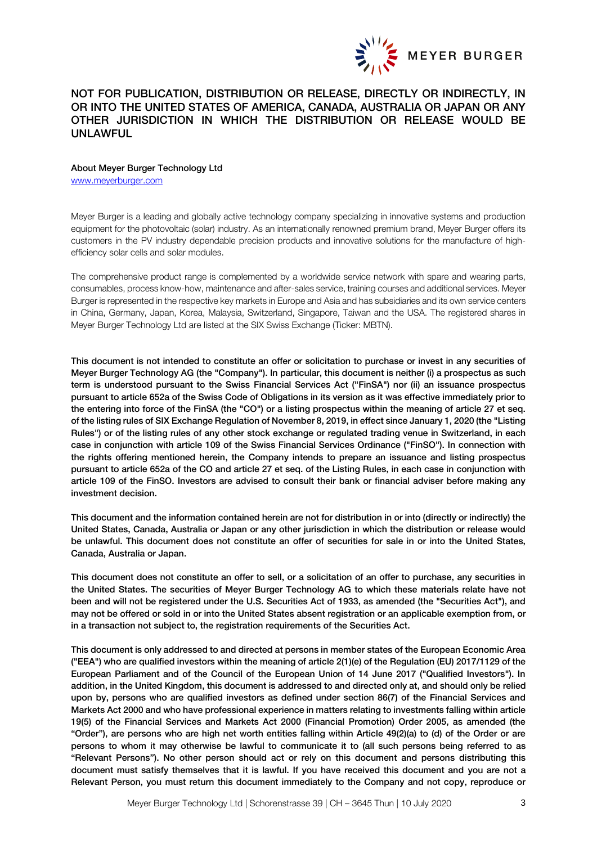

### NOT FOR PUBLICATION, DISTRIBUTION OR RELEASE, DIRECTLY OR INDIRECTLY, IN OR INTO THE UNITED STATES OF AMERICA, CANADA, AUSTRALIA OR JAPAN OR ANY OTHER JURISDICTION IN WHICH THE DISTRIBUTION OR RELEASE WOULD BE UNLAWFUL

#### About Meyer Burger Technology Ltd

[www.meyerburger.com](http://www.meyerburger.com/)

Meyer Burger is a leading and globally active technology company specializing in innovative systems and production equipment for the photovoltaic (solar) industry. As an internationally renowned premium brand, Meyer Burger offers its customers in the PV industry dependable precision products and innovative solutions for the manufacture of highefficiency solar cells and solar modules.

The comprehensive product range is complemented by a worldwide service network with spare and wearing parts, consumables, process know-how, maintenance and after-sales service, training courses and additional services. Meyer Burger is represented in the respective key markets in Europe and Asia and has subsidiaries and its own service centers in China, Germany, Japan, Korea, Malaysia, Switzerland, Singapore, Taiwan and the USA. The registered shares in Meyer Burger Technology Ltd are listed at the SIX Swiss Exchange (Ticker: MBTN).

This document is not intended to constitute an offer or solicitation to purchase or invest in any securities of Meyer Burger Technology AG (the "Company"). In particular, this document is neither (i) a prospectus as such term is understood pursuant to the Swiss Financial Services Act ("FinSA") nor (ii) an issuance prospectus pursuant to article 652a of the Swiss Code of Obligations in its version as it was effective immediately prior to the entering into force of the FinSA (the "CO") or a listing prospectus within the meaning of article 27 et seq. of the listing rules of SIX Exchange Regulation of November 8, 2019, in effect since January 1, 2020 (the "Listing Rules") or of the listing rules of any other stock exchange or regulated trading venue in Switzerland, in each case in conjunction with article 109 of the Swiss Financial Services Ordinance ("FinSO"). In connection with the rights offering mentioned herein, the Company intends to prepare an issuance and listing prospectus pursuant to article 652a of the CO and article 27 et seq. of the Listing Rules, in each case in conjunction with article 109 of the FinSO. Investors are advised to consult their bank or financial adviser before making any investment decision.

This document and the information contained herein are not for distribution in or into (directly or indirectly) the United States, Canada, Australia or Japan or any other jurisdiction in which the distribution or release would be unlawful. This document does not constitute an offer of securities for sale in or into the United States, Canada, Australia or Japan.

This document does not constitute an offer to sell, or a solicitation of an offer to purchase, any securities in the United States. The securities of Meyer Burger Technology AG to which these materials relate have not been and will not be registered under the U.S. Securities Act of 1933, as amended (the "Securities Act"), and may not be offered or sold in or into the United States absent registration or an applicable exemption from, or in a transaction not subject to, the registration requirements of the Securities Act.

This document is only addressed to and directed at persons in member states of the European Economic Area ("EEA") who are qualified investors within the meaning of article 2(1)(e) of the Regulation (EU) 2017/1129 of the European Parliament and of the Council of the European Union of 14 June 2017 ("Qualified Investors"). In addition, in the United Kingdom, this document is addressed to and directed only at, and should only be relied upon by, persons who are qualified investors as defined under section 86(7) of the Financial Services and Markets Act 2000 and who have professional experience in matters relating to investments falling within article 19(5) of the Financial Services and Markets Act 2000 (Financial Promotion) Order 2005, as amended (the "Order"), are persons who are high net worth entities falling within Article 49(2)(a) to (d) of the Order or are persons to whom it may otherwise be lawful to communicate it to (all such persons being referred to as "Relevant Persons"). No other person should act or rely on this document and persons distributing this document must satisfy themselves that it is lawful. If you have received this document and you are not a Relevant Person, you must return this document immediately to the Company and not copy, reproduce or